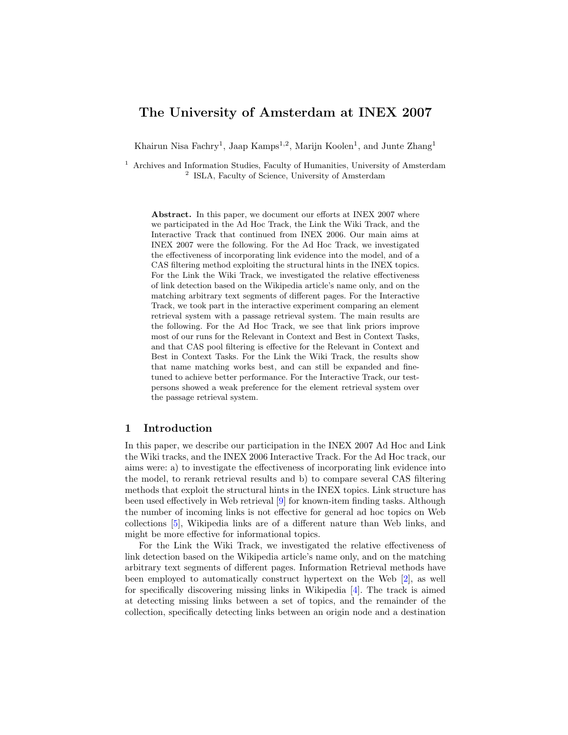# The University of Amsterdam at INEX 2007

Khairun Nisa Fachry<sup>1</sup>, Jaap Kamps<sup>1,2</sup>, Marijn Koolen<sup>1</sup>, and Junte Zhang<sup>1</sup>

<sup>1</sup> Archives and Information Studies, Faculty of Humanities, University of Amsterdam <sup>2</sup> ISLA, Faculty of Science, University of Amsterdam

Abstract. In this paper, we document our efforts at INEX 2007 where we participated in the Ad Hoc Track, the Link the Wiki Track, and the Interactive Track that continued from INEX 2006. Our main aims at INEX 2007 were the following. For the Ad Hoc Track, we investigated the effectiveness of incorporating link evidence into the model, and of a CAS filtering method exploiting the structural hints in the INEX topics. For the Link the Wiki Track, we investigated the relative effectiveness of link detection based on the Wikipedia article's name only, and on the matching arbitrary text segments of different pages. For the Interactive Track, we took part in the interactive experiment comparing an element retrieval system with a passage retrieval system. The main results are the following. For the Ad Hoc Track, we see that link priors improve most of our runs for the Relevant in Context and Best in Context Tasks, and that CAS pool filtering is effective for the Relevant in Context and Best in Context Tasks. For the Link the Wiki Track, the results show that name matching works best, and can still be expanded and finetuned to achieve better performance. For the Interactive Track, our testpersons showed a weak preference for the element retrieval system over the passage retrieval system.

# 1 Introduction

In this paper, we describe our participation in the INEX 2007 Ad Hoc and Link the Wiki tracks, and the INEX 2006 Interactive Track. For the Ad Hoc track, our aims were: a) to investigate the effectiveness of incorporating link evidence into the model, to rerank retrieval results and b) to compare several CAS filtering methods that exploit the structural hints in the INEX topics. Link structure has been used effectively in Web retrieval [\[9\]](#page-14-0) for known-item finding tasks. Although the number of incoming links is not effective for general ad hoc topics on Web collections [\[5\]](#page-14-1), Wikipedia links are of a different nature than Web links, and might be more effective for informational topics.

For the Link the Wiki Track, we investigated the relative effectiveness of link detection based on the Wikipedia article's name only, and on the matching arbitrary text segments of different pages. Information Retrieval methods have been employed to automatically construct hypertext on the Web [\[2\]](#page-14-2), as well for specifically discovering missing links in Wikipedia [\[4\]](#page-14-3). The track is aimed at detecting missing links between a set of topics, and the remainder of the collection, specifically detecting links between an origin node and a destination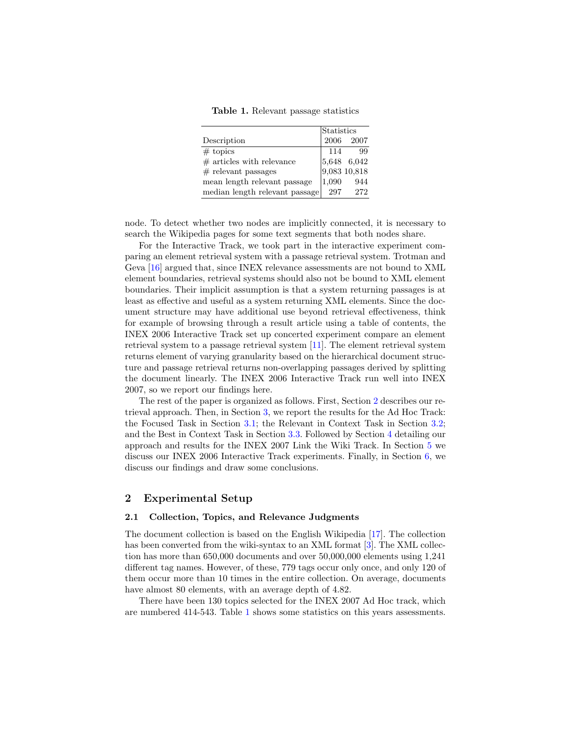<span id="page-1-1"></span>Table 1. Relevant passage statistics

|                                | Statistics      |                      |
|--------------------------------|-----------------|----------------------|
| Description                    |                 | 2006 2007            |
| $# \t{ topics}$                | 114             | 99                   |
| $#$ articles with relevance    |                 | $ 5,648 \quad 6,042$ |
| $#$ relevant passages          |                 | 9,083 10,818         |
| mean length relevant passage   | $ 1.090\rangle$ | 944                  |
| median length relevant passage | 297             | 272                  |

node. To detect whether two nodes are implicitly connected, it is necessary to search the Wikipedia pages for some text segments that both nodes share.

For the Interactive Track, we took part in the interactive experiment comparing an element retrieval system with a passage retrieval system. Trotman and Geva [\[16\]](#page-14-4) argued that, since INEX relevance assessments are not bound to XML element boundaries, retrieval systems should also not be bound to XML element boundaries. Their implicit assumption is that a system returning passages is at least as effective and useful as a system returning XML elements. Since the document structure may have additional use beyond retrieval effectiveness, think for example of browsing through a result article using a table of contents, the INEX 2006 Interactive Track set up concerted experiment compare an element retrieval system to a passage retrieval system [\[11\]](#page-14-5). The element retrieval system returns element of varying granularity based on the hierarchical document structure and passage retrieval returns non-overlapping passages derived by splitting the document linearly. The INEX 2006 Interactive Track run well into INEX 2007, so we report our findings here.

The rest of the paper is organized as follows. First, Section [2](#page-1-0) describes our retrieval approach. Then, in Section [3,](#page-4-0) we report the results for the Ad Hoc Track: the Focused Task in Section [3.1;](#page-4-1) the Relevant in Context Task in Section [3.2;](#page-5-0) and the Best in Context Task in Section [3.3.](#page-6-0) Followed by Section [4](#page-7-0) detailing our approach and results for the INEX 2007 Link the Wiki Track. In Section [5](#page-11-0) we discuss our INEX 2006 Interactive Track experiments. Finally, in Section [6,](#page-13-0) we discuss our findings and draw some conclusions.

### <span id="page-1-0"></span>2 Experimental Setup

#### 2.1 Collection, Topics, and Relevance Judgments

The document collection is based on the English Wikipedia [\[17\]](#page-14-6). The collection has been converted from the wiki-syntax to an XML format [\[3\]](#page-14-7). The XML collection has more than 650,000 documents and over 50,000,000 elements using 1,241 different tag names. However, of these, 779 tags occur only once, and only 120 of them occur more than 10 times in the entire collection. On average, documents have almost 80 elements, with an average depth of 4.82.

There have been 130 topics selected for the INEX 2007 Ad Hoc track, which are numbered 414-543. Table [1](#page-1-1) shows some statistics on this years assessments.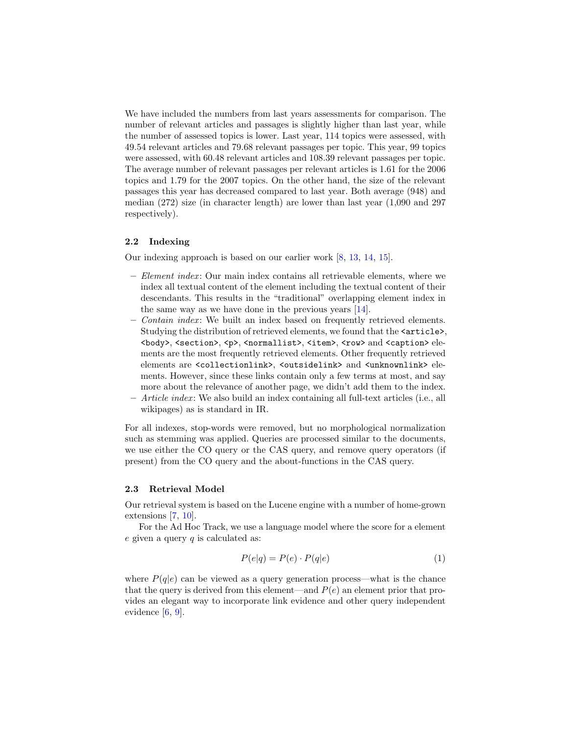We have included the numbers from last years assessments for comparison. The number of relevant articles and passages is slightly higher than last year, while the number of assessed topics is lower. Last year, 114 topics were assessed, with 49.54 relevant articles and 79.68 relevant passages per topic. This year, 99 topics were assessed, with 60.48 relevant articles and 108.39 relevant passages per topic. The average number of relevant passages per relevant articles is 1.61 for the 2006 topics and 1.79 for the 2007 topics. On the other hand, the size of the relevant passages this year has decreased compared to last year. Both average (948) and median (272) size (in character length) are lower than last year (1,090 and 297 respectively).

#### 2.2 Indexing

Our indexing approach is based on our earlier work [\[8,](#page-14-8) [13,](#page-14-9) [14,](#page-14-10) [15\]](#page-14-11).

- Element index : Our main index contains all retrievable elements, where we index all textual content of the element including the textual content of their descendants. This results in the "traditional" overlapping element index in the same way as we have done in the previous years [\[14\]](#page-14-10).
- Contain index : We built an index based on frequently retrieved elements. Studying the distribution of retrieved elements, we found that the  $\texttt{particle}$ , <body>, <section>, <p>, <normallist>, <item>, <row> and <caption> elements are the most frequently retrieved elements. Other frequently retrieved elements are <collectionlink>, <outsidelink> and <unknownlink> elements. However, since these links contain only a few terms at most, and say more about the relevance of another page, we didn't add them to the index.
- Article index : We also build an index containing all full-text articles (i.e., all wikipages) as is standard in IR.

For all indexes, stop-words were removed, but no morphological normalization such as stemming was applied. Queries are processed similar to the documents, we use either the CO query or the CAS query, and remove query operators (if present) from the CO query and the about-functions in the CAS query.

#### 2.3 Retrieval Model

Our retrieval system is based on the Lucene engine with a number of home-grown extensions [\[7,](#page-14-12) [10\]](#page-14-13).

For the Ad Hoc Track, we use a language model where the score for a element  $e$  given a query  $q$  is calculated as:

$$
P(e|q) = P(e) \cdot P(q|e)
$$
\n<sup>(1)</sup>

where  $P(q|e)$  can be viewed as a query generation process—what is the chance that the query is derived from this element—and  $P(e)$  an element prior that provides an elegant way to incorporate link evidence and other query independent evidence [\[6,](#page-14-14) [9\]](#page-14-0).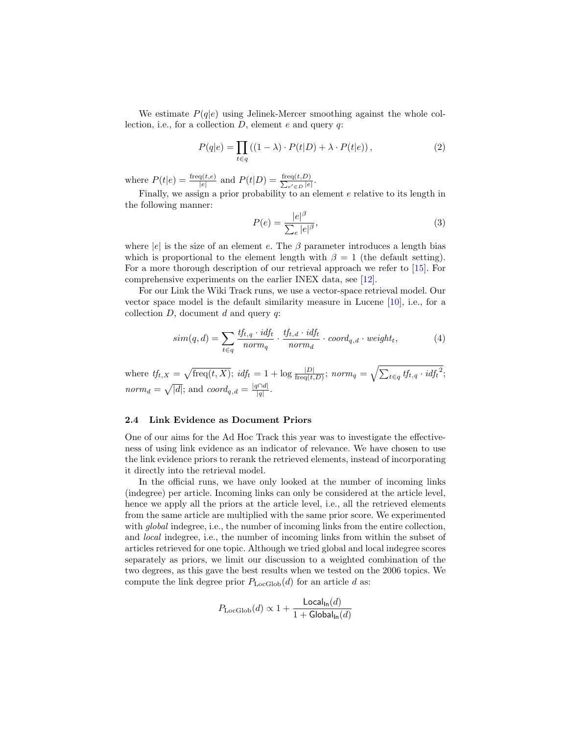We estimate  $P(q|e)$  using Jelinek-Mercer smoothing against the whole collection, i.e., for a collection  $D$ , element  $e$  and query  $q$ :

$$
P(q|e) = \prod_{t \in q} ((1 - \lambda) \cdot P(t|D) + \lambda \cdot P(t|e)), \qquad (2)
$$

where  $P(t|e) = \frac{\text{freq}(t,e)}{|e|}$  and  $P(t|D) = \frac{\text{freq}(t,D)}{\sum_{e' \in D} |e|}$  $\frac{\operatorname{eq}(t,D)}{e'\in D}$ .

Finally, we assign a prior probability to an element e relative to its length in the following manner:

$$
P(e) = \frac{|e|^{\beta}}{\sum_{e} |e|^{\beta}},\tag{3}
$$

where  $|e|$  is the size of an element e. The  $\beta$  parameter introduces a length bias which is proportional to the element length with  $\beta = 1$  (the default setting). For a more thorough description of our retrieval approach we refer to [\[15\]](#page-14-11). For comprehensive experiments on the earlier INEX data, see [\[12\]](#page-14-15).

For our Link the Wiki Track runs, we use a vector-space retrieval model. Our vector space model is the default similarity measure in Lucene [\[10\]](#page-14-13), i.e., for a collection  $D$ , document  $d$  and query  $q$ :

$$
sim(q,d) = \sum_{t \in q} \frac{tf_{t,q} \cdot id_{ft}}{norm_q} \cdot \frac{tf_{t,d} \cdot id_{ft}}{norm_d} \cdot coord_{q,d} \cdot weight_t,
$$
\n(4)

where  $tf_{t,X} = \sqrt{\text{freq}(t,X)}$ ;  $idf_t = 1 + \log \frac{|D|}{\text{freq}(t,D)}$ ;  $norm_q = \sqrt{\sum_{t \in q} tf_{t,q} \cdot idf_t^2}$ ; norm<sub>d</sub> =  $\sqrt{|d|}$ ; and coord<sub>q,d</sub> =  $\frac{|q \cap d|}{|d|}$  $\frac{q|q|}{|q|}$ .

#### 2.4 Link Evidence as Document Priors

One of our aims for the Ad Hoc Track this year was to investigate the effectiveness of using link evidence as an indicator of relevance. We have chosen to use the link evidence priors to rerank the retrieved elements, instead of incorporating it directly into the retrieval model.

In the official runs, we have only looked at the number of incoming links (indegree) per article. Incoming links can only be considered at the article level, hence we apply all the priors at the article level, i.e., all the retrieved elements from the same article are multiplied with the same prior score. We experimented with *global* indegree, i.e., the number of incoming links from the entire collection, and local indegree, i.e., the number of incoming links from within the subset of articles retrieved for one topic. Although we tried global and local indegree scores separately as priors, we limit our discussion to a weighted combination of the two degrees, as this gave the best results when we tested on the 2006 topics. We compute the link degree prior  $P_{\text{LocGlob}}(d)$  for an article d as:

$$
P_{\text{LocGlob}}(d) \propto 1 + \frac{\text{Local}_{\ln}(d)}{1 + \text{Global}_{\ln}(d)}
$$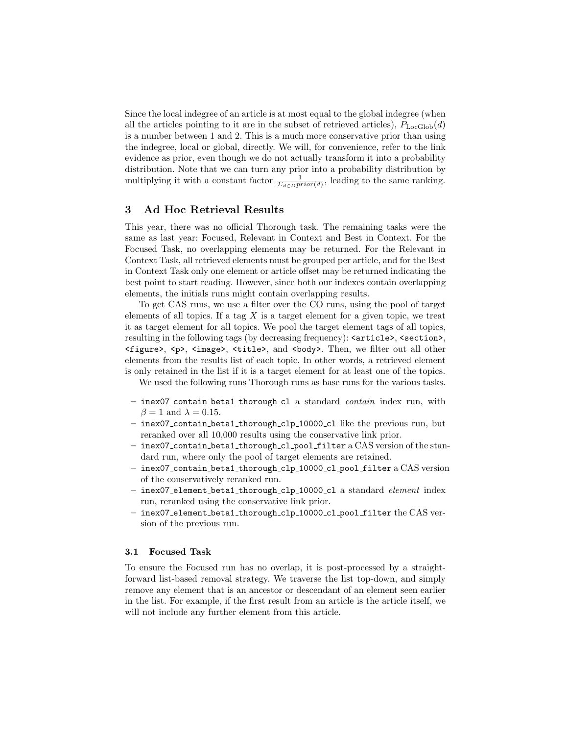Since the local indegree of an article is at most equal to the global indegree (when all the articles pointing to it are in the subset of retrieved articles),  $P_{\text{LocGlob}}(d)$ is a number between 1 and 2. This is a much more conservative prior than using the indegree, local or global, directly. We will, for convenience, refer to the link evidence as prior, even though we do not actually transform it into a probability distribution. Note that we can turn any prior into a probability distribution by multiplying it with a constant factor  $\frac{1}{\Sigma_{d\in D} prior(d)}$ , leading to the same ranking.

# <span id="page-4-0"></span>3 Ad Hoc Retrieval Results

This year, there was no official Thorough task. The remaining tasks were the same as last year: Focused, Relevant in Context and Best in Context. For the Focused Task, no overlapping elements may be returned. For the Relevant in Context Task, all retrieved elements must be grouped per article, and for the Best in Context Task only one element or article offset may be returned indicating the best point to start reading. However, since both our indexes contain overlapping elements, the initials runs might contain overlapping results.

To get CAS runs, we use a filter over the CO runs, using the pool of target elements of all topics. If a tag  $X$  is a target element for a given topic, we treat it as target element for all topics. We pool the target element tags of all topics, resulting in the following tags (by decreasing frequency):  $\langle$  article>,  $\langle$  section>,  $\langle$  figure>,  $\langle$   $\rangle$ ,  $\langle$  image>,  $\langle$  title>, and  $\langle$  body>. Then, we filter out all other elements from the results list of each topic. In other words, a retrieved element is only retained in the list if it is a target element for at least one of the topics.

We used the following runs Thorough runs as base runs for the various tasks.

- inex07\_contain\_beta1\_thorough\_cl a standard *contain* index run, with  $\beta = 1$  and  $\lambda = 0.15$ .
- inex07 contain beta1 thorough clp 10000 cl like the previous run, but reranked over all 10,000 results using the conservative link prior.
- $-$  inex07\_contain\_beta1\_thorough\_c1\_pool\_filter a  $\mathrm{CAS}$  version of the standard run, where only the pool of target elements are retained.
- inex07 contain beta1 thorough clp 10000 cl pool filter a CAS version of the conservatively reranked run.
- inex07\_element\_beta1\_thorough\_clp\_10000\_cl a standard element index run, reranked using the conservative link prior.
- inex07 element beta1 thorough clp 10000 cl pool filter the CAS version of the previous run.

#### <span id="page-4-1"></span>3.1 Focused Task

To ensure the Focused run has no overlap, it is post-processed by a straightforward list-based removal strategy. We traverse the list top-down, and simply remove any element that is an ancestor or descendant of an element seen earlier in the list. For example, if the first result from an article is the article itself, we will not include any further element from this article.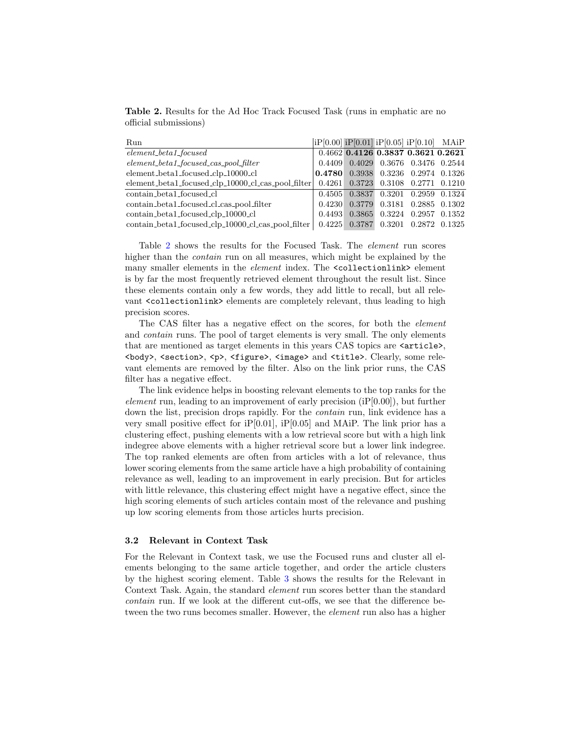<span id="page-5-1"></span>Table 2. Results for the Ad Hoc Track Focused Task (runs in emphatic are no official submissions)

| Run                                                |               | $ iP[0.00]$ $iP[0.01]$ $iP[0.05]$ $iP[0.10]$ MAiP |  |
|----------------------------------------------------|---------------|---------------------------------------------------|--|
| $element\_beta\_focused$                           |               | 0.4662 0.4126 0.3837 0.3621 0.2621                |  |
| $element\_beta\_focused\_cas\_pool\_filter$        |               | 0.4409 0.4029 0.3676 0.3476 0.2544                |  |
| element_beta1_focused_clp_10000_cl                 |               |                                                   |  |
| element_beta1_focused_clp_10000_cl_cas_pool_filter |               | 0.4261 0.3723 0.3108 0.2771 0.1210                |  |
| contain_beta1_focused_cl                           |               | 0.4505 0.3837 0.3201 0.2959 0.1324                |  |
| contain_beta1_focused_cl_cas_pool_filter           |               | 0.4230 0.3779 0.3181 0.2885 0.1302                |  |
| contain_beta1_focused_clp_10000_cl                 | 0.4493 0.3865 | $0.3224$ $0.2957$ $0.1352$                        |  |
| contain_beta1_focused_clp_10000_cl_cas_pool_filter |               | $0.4225$ $0.3787$ $0.3201$ $0.2872$ $0.1325$      |  |

Table [2](#page-5-1) shows the results for the Focused Task. The element run scores higher than the *contain* run on all measures, which might be explained by the many smaller elements in the *element* index. The <collectionlink> element is by far the most frequently retrieved element throughout the result list. Since these elements contain only a few words, they add little to recall, but all relevant <collectionlink> elements are completely relevant, thus leading to high precision scores.

The CAS filter has a negative effect on the scores, for both the element and contain runs. The pool of target elements is very small. The only elements that are mentioned as target elements in this years CAS topics are  $\langle$ article>, <body>, <section>, <p>, <figure>, <image> and <title>. Clearly, some relevant elements are removed by the filter. Also on the link prior runs, the CAS filter has a negative effect.

The link evidence helps in boosting relevant elements to the top ranks for the element run, leading to an improvement of early precision  $(iP[0.00])$ , but further down the list, precision drops rapidly. For the *contain* run, link evidence has a very small positive effect for  $iP[0.01]$ ,  $iP[0.05]$  and MAiP. The link prior has a clustering effect, pushing elements with a low retrieval score but with a high link indegree above elements with a higher retrieval score but a lower link indegree. The top ranked elements are often from articles with a lot of relevance, thus lower scoring elements from the same article have a high probability of containing relevance as well, leading to an improvement in early precision. But for articles with little relevance, this clustering effect might have a negative effect, since the high scoring elements of such articles contain most of the relevance and pushing up low scoring elements from those articles hurts precision.

#### <span id="page-5-0"></span>3.2 Relevant in Context Task

For the Relevant in Context task, we use the Focused runs and cluster all elements belonging to the same article together, and order the article clusters by the highest scoring element. Table [3](#page-6-1) shows the results for the Relevant in Context Task. Again, the standard element run scores better than the standard contain run. If we look at the different cut-offs, we see that the difference between the two runs becomes smaller. However, the *element* run also has a higher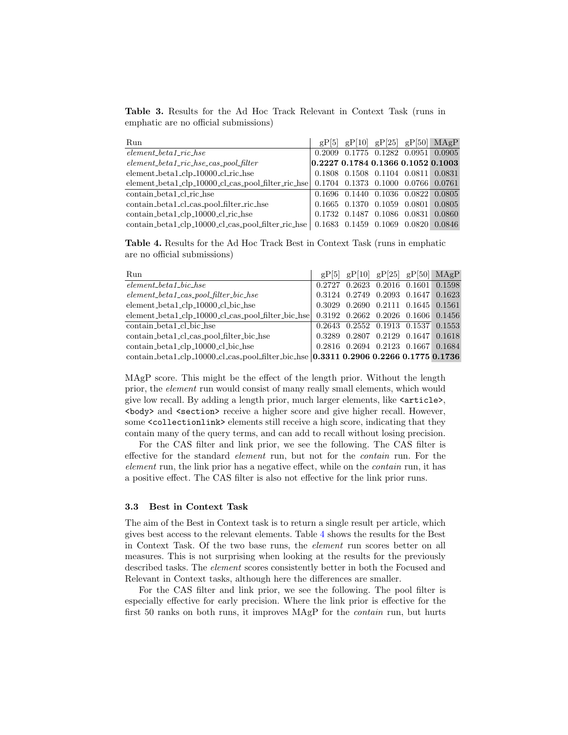<span id="page-6-1"></span>Table 3. Results for the Ad Hoc Track Relevant in Context Task (runs in emphatic are no official submissions)

| Run                                                                                           |  |                                    | $gP[5]$ $gP[10]$ $gP[25]$ $gP[50]$ $MAgP$    |
|-----------------------------------------------------------------------------------------------|--|------------------------------------|----------------------------------------------|
| $element\_beta\_ric\_hse$                                                                     |  |                                    | 0.2009 0.1775 0.1282 0.0951 0.0905           |
| $element\_beta\_ric\_hse\_cas\_pool\_filter$                                                  |  |                                    | 0.22270.17840.13660.10520.1003               |
| element_beta1_clp_10000_cl_ric_hse                                                            |  |                                    | 0.1808 0.1508 0.1104 0.0811 0.0831           |
| element_beta1_clp_10000_cl_cas_pool_filter_ric_hse $\vert$ 0.1704 0.1373 0.1000 0.0766 0.0761 |  |                                    |                                              |
| contain_beta1_cl_ric_hse                                                                      |  |                                    | 0.1696 0.1440 0.1036 0.0822 0.0805           |
| contain_beta1_cl_cas_pool_filter_ric_hse                                                      |  |                                    | $0.1665$ $0.1370$ $0.1059$ $0.0801$ $0.0805$ |
| contain_beta1_clp_10000_cl_ric_hse                                                            |  | 0.1732 0.1487 0.1086 0.0831 0.0860 |                                              |
| contain_beta1_clp_10000_cl_cas_pool_filter_ric_hse   0.1683 0.1459 0.1069 0.0820 0.0846       |  |                                    |                                              |

<span id="page-6-2"></span>Table 4. Results for the Ad Hoc Track Best in Context Task (runs in emphatic are no official submissions)

| Run                                                                                   | $gP[5]$ $gP[10]$ $gP[25]$ $gP[50]$ MAgP      |  |  |
|---------------------------------------------------------------------------------------|----------------------------------------------|--|--|
| $element\_beta\_bic\_hse$                                                             | 0.2727 0.2623 0.2016 0.1601 0.1598           |  |  |
| $element\_beta\_cas\_pool\_filter\_bic\_hse$                                          | 0.3124 0.2749 0.2093 0.1647 0.1623           |  |  |
| element_beta1_clp_10000_cl_bic_hse                                                    | $0.3029$ $0.2690$ $0.2111$ $0.1645$ $0.1561$ |  |  |
| element_beta1_clp_10000_cl_cas_pool_filter_bic_hse                                    | 0.3192 0.2662 0.2026 0.1606 0.1456           |  |  |
| contain_beta1_cl_bic_hse                                                              | $0.2643$ $0.2552$ $0.1913$ $0.1537$ $0.1553$ |  |  |
| contain_beta1_cl_cas_pool_filter_bic_hse                                              | 0.3289 0.2807 0.2129 0.1647 0.1618           |  |  |
| contain_beta1_clp_10000_cl_bic_hse                                                    | $0.2816$ $0.2694$ $0.2123$ $0.1667$ $0.1684$ |  |  |
| contain_beta1_clp_10000_cl_cas_pool_filter_bic_hse 0.3311 0.2906 0.2266 0.1775 0.1736 |                                              |  |  |

MAgP score. This might be the effect of the length prior. Without the length prior, the element run would consist of many really small elements, which would give low recall. By adding a length prior, much larger elements, like <article>, <body> and <section> receive a higher score and give higher recall. However, some <collectionlink> elements still receive a high score, indicating that they contain many of the query terms, and can add to recall without losing precision.

For the CAS filter and link prior, we see the following. The CAS filter is effective for the standard element run, but not for the contain run. For the element run, the link prior has a negative effect, while on the contain run, it has a positive effect. The CAS filter is also not effective for the link prior runs.

#### <span id="page-6-0"></span>3.3 Best in Context Task

The aim of the Best in Context task is to return a single result per article, which gives best access to the relevant elements. Table [4](#page-6-2) shows the results for the Best in Context Task. Of the two base runs, the element run scores better on all measures. This is not surprising when looking at the results for the previously described tasks. The element scores consistently better in both the Focused and Relevant in Context tasks, although here the differences are smaller.

For the CAS filter and link prior, we see the following. The pool filter is especially effective for early precision. Where the link prior is effective for the first 50 ranks on both runs, it improves MAgP for the contain run, but hurts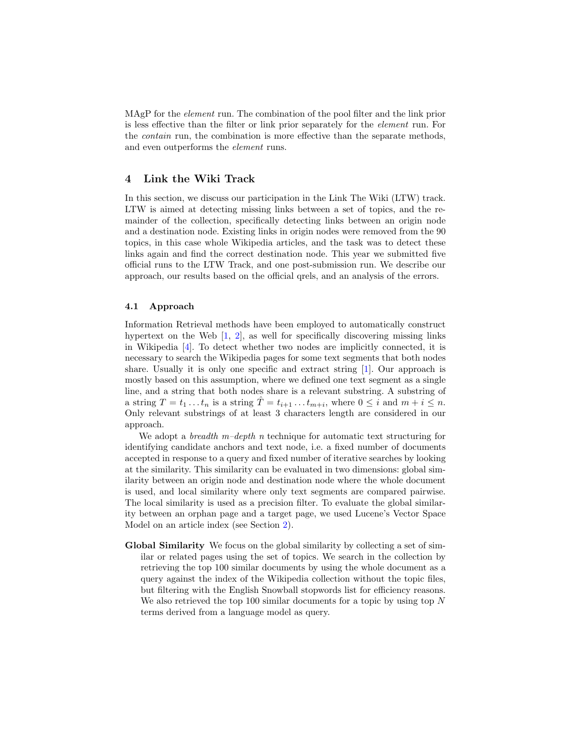MAgP for the *element* run. The combination of the pool filter and the link prior is less effective than the filter or link prior separately for the element run. For the contain run, the combination is more effective than the separate methods, and even outperforms the element runs.

# <span id="page-7-0"></span>4 Link the Wiki Track

In this section, we discuss our participation in the Link The Wiki (LTW) track. LTW is aimed at detecting missing links between a set of topics, and the remainder of the collection, specifically detecting links between an origin node and a destination node. Existing links in origin nodes were removed from the 90 topics, in this case whole Wikipedia articles, and the task was to detect these links again and find the correct destination node. This year we submitted five official runs to the LTW Track, and one post-submission run. We describe our approach, our results based on the official qrels, and an analysis of the errors.

#### 4.1 Approach

Information Retrieval methods have been employed to automatically construct hypertext on the Web [\[1,](#page-14-16) [2\]](#page-14-2), as well for specifically discovering missing links in Wikipedia [\[4\]](#page-14-3). To detect whether two nodes are implicitly connected, it is necessary to search the Wikipedia pages for some text segments that both nodes share. Usually it is only one specific and extract string [\[1\]](#page-14-16). Our approach is mostly based on this assumption, where we defined one text segment as a single line, and a string that both nodes share is a relevant substring. A substring of a string  $T = t_1 \dots t_n$  is a string  $\hat{T} = t_{i+1} \dots t_{m+i}$ , where  $0 \leq i$  and  $m + i \leq n$ . Only relevant substrings of at least 3 characters length are considered in our approach.

We adopt a *breadth*  $m$ –depth n technique for automatic text structuring for identifying candidate anchors and text node, i.e. a fixed number of documents accepted in response to a query and fixed number of iterative searches by looking at the similarity. This similarity can be evaluated in two dimensions: global similarity between an origin node and destination node where the whole document is used, and local similarity where only text segments are compared pairwise. The local similarity is used as a precision filter. To evaluate the global similarity between an orphan page and a target page, we used Lucene's Vector Space Model on an article index (see Section [2\)](#page-1-0).

Global Similarity We focus on the global similarity by collecting a set of similar or related pages using the set of topics. We search in the collection by retrieving the top 100 similar documents by using the whole document as a query against the index of the Wikipedia collection without the topic files, but filtering with the English Snowball stopwords list for efficiency reasons. We also retrieved the top 100 similar documents for a topic by using top  $N$ terms derived from a language model as query.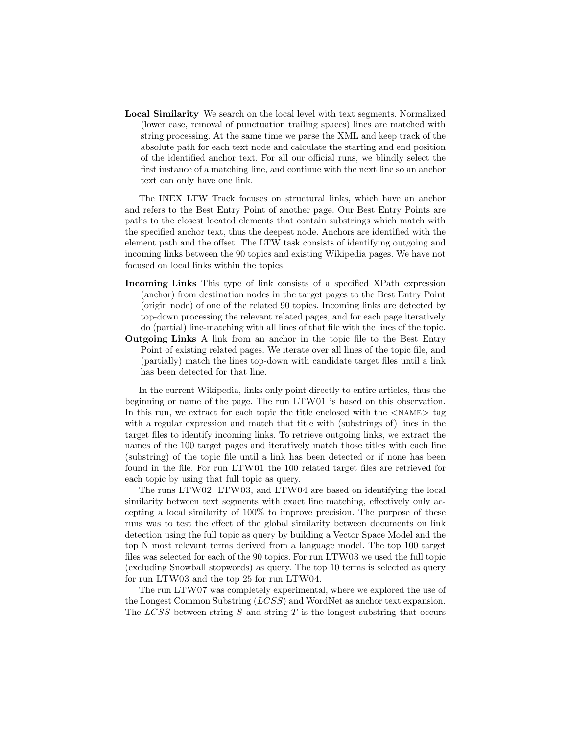Local Similarity We search on the local level with text segments. Normalized (lower case, removal of punctuation trailing spaces) lines are matched with string processing. At the same time we parse the XML and keep track of the absolute path for each text node and calculate the starting and end position of the identified anchor text. For all our official runs, we blindly select the first instance of a matching line, and continue with the next line so an anchor text can only have one link.

The INEX LTW Track focuses on structural links, which have an anchor and refers to the Best Entry Point of another page. Our Best Entry Points are paths to the closest located elements that contain substrings which match with the specified anchor text, thus the deepest node. Anchors are identified with the element path and the offset. The LTW task consists of identifying outgoing and incoming links between the 90 topics and existing Wikipedia pages. We have not focused on local links within the topics.

- Incoming Links This type of link consists of a specified XPath expression (anchor) from destination nodes in the target pages to the Best Entry Point (origin node) of one of the related 90 topics. Incoming links are detected by top-down processing the relevant related pages, and for each page iteratively do (partial) line-matching with all lines of that file with the lines of the topic.
- Outgoing Links A link from an anchor in the topic file to the Best Entry Point of existing related pages. We iterate over all lines of the topic file, and (partially) match the lines top-down with candidate target files until a link has been detected for that line.

In the current Wikipedia, links only point directly to entire articles, thus the beginning or name of the page. The run LTW01 is based on this observation. In this run, we extract for each topic the title enclosed with the  $\langle$ NAME $\rangle$  tag with a regular expression and match that title with (substrings of) lines in the target files to identify incoming links. To retrieve outgoing links, we extract the names of the 100 target pages and iteratively match those titles with each line (substring) of the topic file until a link has been detected or if none has been found in the file. For run LTW01 the 100 related target files are retrieved for each topic by using that full topic as query.

The runs LTW02, LTW03, and LTW04 are based on identifying the local similarity between text segments with exact line matching, effectively only accepting a local similarity of 100% to improve precision. The purpose of these runs was to test the effect of the global similarity between documents on link detection using the full topic as query by building a Vector Space Model and the top N most relevant terms derived from a language model. The top 100 target files was selected for each of the 90 topics. For run LTW03 we used the full topic (excluding Snowball stopwords) as query. The top 10 terms is selected as query for run LTW03 and the top 25 for run LTW04.

The run LTW07 was completely experimental, where we explored the use of the Longest Common Substring (LCSS) and WordNet as anchor text expansion. The  $LCSS$  between string S and string T is the longest substring that occurs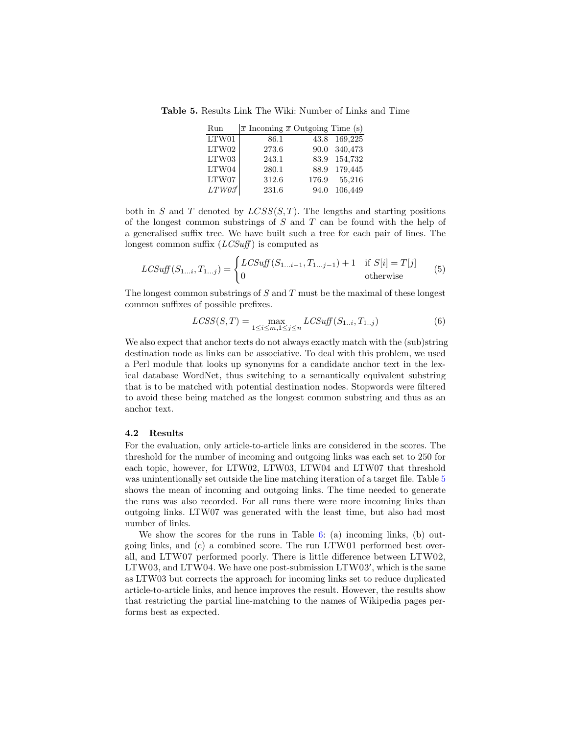Table 5. Results Link The Wiki: Number of Links and Time

<span id="page-9-0"></span>

| Run            | $\bar{x}$ Incoming $\bar{x}$ Outgoing Time (s) |       |              |
|----------------|------------------------------------------------|-------|--------------|
| LTW01          | 86.1                                           |       | 43.8 169,225 |
| LTW02          | 273.6                                          |       | 90.0 340,473 |
| LTW03          | 243.1                                          |       | 83.9 154,732 |
| LTW04          | 280.1                                          |       | 88.9 179,445 |
| LTW07          | 312.6                                          | 176.9 | 55,216       |
| $LTW03^\prime$ | 231.6                                          | 94.0  | 106,449      |

both in S and T denoted by  $LCSS(S,T)$ . The lengths and starting positions of the longest common substrings of  $S$  and  $T$  can be found with the help of a generalised suffix tree. We have built such a tree for each pair of lines. The longest common suffix  $(LCSuff)$  is computed as

$$
LCSuff(S_{1...i}, T_{1...j}) = \begin{cases} LCSuff(S_{1...i-1}, T_{1...j-1}) + 1 & \text{if } S[i] = T[j] \\ 0 & \text{otherwise} \end{cases}
$$
(5)

The longest common substrings of  $S$  and  $T$  must be the maximal of these longest common suffixes of possible prefixes.

$$
LCSS(S,T) = \max_{1 \le i \le m, 1 \le j \le n} LCSuff(S_{1..i}, T_{1..j})
$$
(6)

We also expect that anchor texts do not always exactly match with the (sub)string destination node as links can be associative. To deal with this problem, we used a Perl module that looks up synonyms for a candidate anchor text in the lexical database WordNet, thus switching to a semantically equivalent substring that is to be matched with potential destination nodes. Stopwords were filtered to avoid these being matched as the longest common substring and thus as an anchor text.

#### 4.2 Results

For the evaluation, only article-to-article links are considered in the scores. The threshold for the number of incoming and outgoing links was each set to 250 for each topic, however, for LTW02, LTW03, LTW04 and LTW07 that threshold was unintentionally set outside the line matching iteration of a target file. Table [5](#page-9-0) shows the mean of incoming and outgoing links. The time needed to generate the runs was also recorded. For all runs there were more incoming links than outgoing links. LTW07 was generated with the least time, but also had most number of links.

We show the scores for the runs in Table [6:](#page-10-0) (a) incoming links, (b) outgoing links, and (c) a combined score. The run LTW01 performed best overall, and LTW07 performed poorly. There is little difference between LTW02, LTW03, and LTW04. We have one post-submission  $LTW03'$ , which is the same as LTW03 but corrects the approach for incoming links set to reduce duplicated article-to-article links, and hence improves the result. However, the results show that restricting the partial line-matching to the names of Wikipedia pages performs best as expected.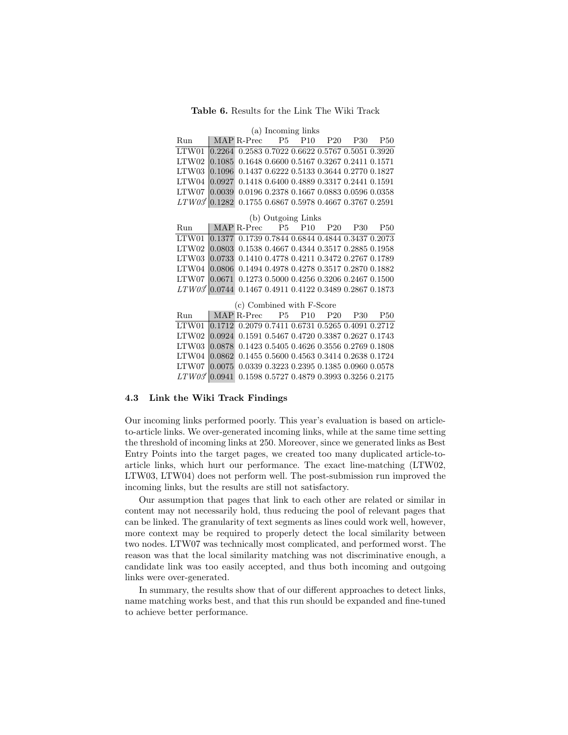#### Table 6. Results for the Link The Wiki Track

#### <span id="page-10-0"></span>(a) Incoming links

| Run                                                       | MAP R-Prec P5 P10 P20 P30 P50 |  |  |  |
|-----------------------------------------------------------|-------------------------------|--|--|--|
| LTW01 0.2264 0.2583 0.7022 0.6622 0.5767 0.5051 0.3920    |                               |  |  |  |
| LTW02 0.1085 0.1648 0.6600 0.5167 0.3267 0.2411 0.1571    |                               |  |  |  |
| LTW03 0.1096 0.1437 0.6222 0.5133 0.3644 0.2770 0.1827    |                               |  |  |  |
| LTW04 0.0927 0.1418 0.6400 0.4889 0.3317 0.2441 0.1591    |                               |  |  |  |
| LTW07 0.0039 0.0196 0.2378 0.1667 0.0883 0.0596 0.0358    |                               |  |  |  |
| $LTW03'$ 0.1282 0.1755 0.6867 0.5978 0.4667 0.3767 0.2591 |                               |  |  |  |

(b) Outgoing Links

| Run                                                     | MAP R-Prec P5 P10 P20 P30 P50 |  |  |  |
|---------------------------------------------------------|-------------------------------|--|--|--|
| LTW01 0.1377 0.1739 0.7844 0.6844 0.4844 0.3437 0.2073  |                               |  |  |  |
| LTW02 0.0803 0.1538 0.4667 0.4344 0.3517 0.2885 0.1958  |                               |  |  |  |
| LTW03 0.0733 0.1410 0.4778 0.4211 0.3472 0.2767 0.1789  |                               |  |  |  |
| LTW04 0.0806 0.1494 0.4978 0.4278 0.3517 0.2870 0.1882  |                               |  |  |  |
| LTW07 0.0671 0.1273 0.5000 0.4256 0.3206 0.2467 0.1500  |                               |  |  |  |
| LTW03' 0.0744 0.1467 0.4911 0.4122 0.3489 0.2867 0.1873 |                               |  |  |  |

|  |  |  |  |  | (c) Combined with F-Score | MAP R-Prec P5 P10 P20 P30 P50<br>LTW01 0.1712 0.2079 0.7411 0.6731 0.5265 0.4091 0.2712<br>LTW02 0.0924 0.1591 0.5467 0.4720 0.3387 0.2627 0.1743<br>LTW03 0.0878 0.1423 0.5405 0.4626 0.3556 0.2769 0.1808<br>LTW04 0.0862 0.1455 0.5600 0.4563 0.3414 0.2638 0.1724<br>LTW07 0.0075 0.0339 0.3223 0.2395 0.1385 0.0960 0.0578<br>LTW03' 0.0941 0.1598 0.5727 0.4879 0.3993 0.3256 0.2175 |
|--|--|--|--|--|---------------------------|--------------------------------------------------------------------------------------------------------------------------------------------------------------------------------------------------------------------------------------------------------------------------------------------------------------------------------------------------------------------------------------------|

# 4.3 Link the Wiki Track Findings

Our incoming links performed poorly. This year's evaluation is based on articleto-article links. We over-generated incoming links, while at the same time setting the threshold of incoming links at 250. Moreover, since we generated links as Best Entry Points into the target pages, we created too many duplicated article-toarticle links, which hurt our performance. The exact line-matching (LTW02, LTW03, LTW04) does not perform well. The post-submission run improved the incoming links, but the results are still not satisfactory.

Our assumption that pages that link to each other are related or similar in content may not necessarily hold, thus reducing the pool of relevant pages that can be linked. The granularity of text segments as lines could work well, however, more context may be required to properly detect the local similarity between two nodes. LTW07 was technically most complicated, and performed worst. The reason was that the local similarity matching was not discriminative enough, a candidate link was too easily accepted, and thus both incoming and outgoing links were over-generated.

In summary, the results show that of our different approaches to detect links, name matching works best, and that this run should be expanded and fine-tuned to achieve better performance.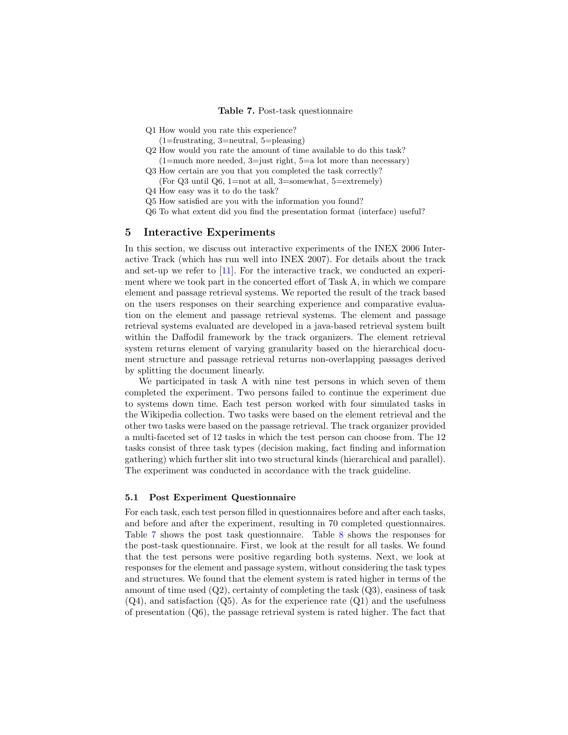<span id="page-11-1"></span>Table 7. Post-task questionnaire

- Q1 How would you rate this experience?
- (1=frustrating, 3=neutral, 5=pleasing)
- Q2 How would you rate the amount of time available to do this task?  $(1=$ much more needed,  $3=$ just right,  $5=$ a lot more than necessary)
- Q3 How certain are you that you completed the task correctly? (For Q3 until Q6, 1=not at all, 3=somewhat, 5=extremely)
- Q4 How easy was it to do the task?
- Q5 How satisfied are you with the information you found?
- Q6 To what extent did you find the presentation format (interface) useful?

### <span id="page-11-0"></span>5 Interactive Experiments

In this section, we discuss out interactive experiments of the INEX 2006 Interactive Track (which has run well into INEX 2007). For details about the track and set-up we refer to  $[11]$ . For the interactive track, we conducted an experiment where we took part in the concerted effort of Task A, in which we compare element and passage retrieval systems. We reported the result of the track based on the users responses on their searching experience and comparative evaluation on the element and passage retrieval systems. The element and passage retrieval systems evaluated are developed in a java-based retrieval system built within the Daffodil framework by the track organizers. The element retrieval system returns element of varying granularity based on the hierarchical document structure and passage retrieval returns non-overlapping passages derived by splitting the document linearly.

We participated in task A with nine test persons in which seven of them completed the experiment. Two persons failed to continue the experiment due to systems down time. Each test person worked with four simulated tasks in the Wikipedia collection. Two tasks were based on the element retrieval and the other two tasks were based on the passage retrieval. The track organizer provided a multi-faceted set of 12 tasks in which the test person can choose from. The 12 tasks consist of three task types (decision making, fact finding and information gathering) which further slit into two structural kinds (hierarchical and parallel). The experiment was conducted in accordance with the track guideline.

#### 5.1 Post Experiment Questionnaire

For each task, each test person filled in questionnaires before and after each tasks, and before and after the experiment, resulting in 70 completed questionnaires. Table [7](#page-11-1) shows the post task questionnaire. Table [8](#page-12-0) shows the responses for the post-task questionnaire. First, we look at the result for all tasks. We found that the test persons were positive regarding both systems. Next, we look at responses for the element and passage system, without considering the task types and structures. We found that the element system is rated higher in terms of the amount of time used  $(Q2)$ , certainty of completing the task  $(Q3)$ , easiness of task  $(Q4)$ , and satisfaction  $(Q5)$ . As for the experience rate  $(Q1)$  and the usefulness of presentation (Q6), the passage retrieval system is rated higher. The fact that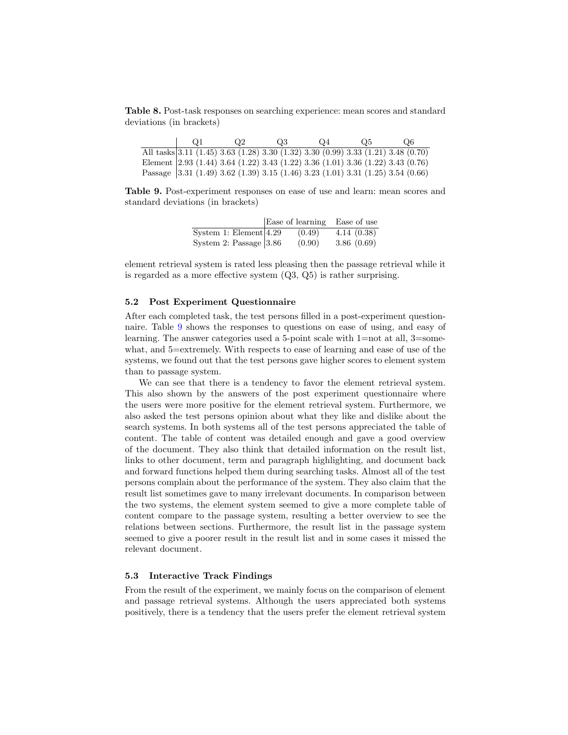<span id="page-12-0"></span>Table 8. Post-task responses on searching experience: mean scores and standard deviations (in brackets)

| $\Omega$ 1 | O2 | $\Omega$ 3 | $Q_{4}$ | O5. | Q6                                                                                |
|------------|----|------------|---------|-----|-----------------------------------------------------------------------------------|
|            |    |            |         |     | All tasks 3.11 (1.45) 3.63 (1.28) 3.30 (1.32) 3.30 (0.99) 3.33 (1.21) 3.48 (0.70) |
|            |    |            |         |     | Element 2.93 (1.44) 3.64 (1.22) 3.43 (1.22) 3.36 (1.01) 3.36 (1.22) 3.43 (0.76)   |
|            |    |            |         |     | Passage 3.31 (1.49) 3.62 (1.39) 3.15 (1.46) 3.23 (1.01) 3.31 (1.25) 3.54 (0.66)   |

<span id="page-12-1"></span>Table 9. Post-experiment responses on ease of use and learn: mean scores and standard deviations (in brackets)

|                            | Ease of learning | Ease of use |
|----------------------------|------------------|-------------|
| System 1: Element $4.29$   | (0.49)           | 4.14(0.38)  |
| System 2: Passage $ 3.86 $ | (0.90)           | 3.86(0.69)  |

element retrieval system is rated less pleasing then the passage retrieval while it is regarded as a more effective system (Q3, Q5) is rather surprising.

### 5.2 Post Experiment Questionnaire

After each completed task, the test persons filled in a post-experiment questionnaire. Table [9](#page-12-1) shows the responses to questions on ease of using, and easy of learning. The answer categories used a 5-point scale with  $1=$ not at all,  $3=$ somewhat, and 5=extremely. With respects to ease of learning and ease of use of the systems, we found out that the test persons gave higher scores to element system than to passage system.

We can see that there is a tendency to favor the element retrieval system. This also shown by the answers of the post experiment questionnaire where the users were more positive for the element retrieval system. Furthermore, we also asked the test persons opinion about what they like and dislike about the search systems. In both systems all of the test persons appreciated the table of content. The table of content was detailed enough and gave a good overview of the document. They also think that detailed information on the result list, links to other document, term and paragraph highlighting, and document back and forward functions helped them during searching tasks. Almost all of the test persons complain about the performance of the system. They also claim that the result list sometimes gave to many irrelevant documents. In comparison between the two systems, the element system seemed to give a more complete table of content compare to the passage system, resulting a better overview to see the relations between sections. Furthermore, the result list in the passage system seemed to give a poorer result in the result list and in some cases it missed the relevant document.

#### 5.3 Interactive Track Findings

From the result of the experiment, we mainly focus on the comparison of element and passage retrieval systems. Although the users appreciated both systems positively, there is a tendency that the users prefer the element retrieval system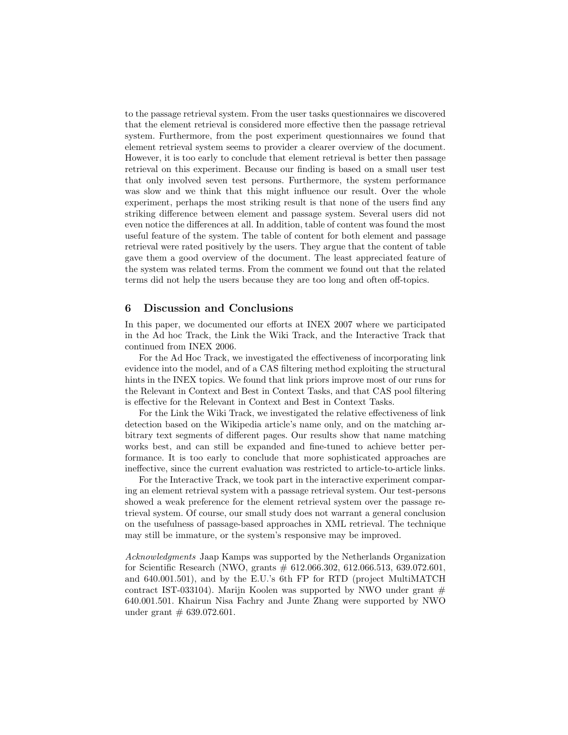to the passage retrieval system. From the user tasks questionnaires we discovered that the element retrieval is considered more effective then the passage retrieval system. Furthermore, from the post experiment questionnaires we found that element retrieval system seems to provider a clearer overview of the document. However, it is too early to conclude that element retrieval is better then passage retrieval on this experiment. Because our finding is based on a small user test that only involved seven test persons. Furthermore, the system performance was slow and we think that this might influence our result. Over the whole experiment, perhaps the most striking result is that none of the users find any striking difference between element and passage system. Several users did not even notice the differences at all. In addition, table of content was found the most useful feature of the system. The table of content for both element and passage retrieval were rated positively by the users. They argue that the content of table gave them a good overview of the document. The least appreciated feature of the system was related terms. From the comment we found out that the related terms did not help the users because they are too long and often off-topics.

### <span id="page-13-0"></span>6 Discussion and Conclusions

In this paper, we documented our efforts at INEX 2007 where we participated in the Ad hoc Track, the Link the Wiki Track, and the Interactive Track that continued from INEX 2006.

For the Ad Hoc Track, we investigated the effectiveness of incorporating link evidence into the model, and of a CAS filtering method exploiting the structural hints in the INEX topics. We found that link priors improve most of our runs for the Relevant in Context and Best in Context Tasks, and that CAS pool filtering is effective for the Relevant in Context and Best in Context Tasks.

For the Link the Wiki Track, we investigated the relative effectiveness of link detection based on the Wikipedia article's name only, and on the matching arbitrary text segments of different pages. Our results show that name matching works best, and can still be expanded and fine-tuned to achieve better performance. It is too early to conclude that more sophisticated approaches are ineffective, since the current evaluation was restricted to article-to-article links.

For the Interactive Track, we took part in the interactive experiment comparing an element retrieval system with a passage retrieval system. Our test-persons showed a weak preference for the element retrieval system over the passage retrieval system. Of course, our small study does not warrant a general conclusion on the usefulness of passage-based approaches in XML retrieval. The technique may still be immature, or the system's responsive may be improved.

Acknowledgments Jaap Kamps was supported by the Netherlands Organization for Scientific Research (NWO, grants # 612.066.302, 612.066.513, 639.072.601, and 640.001.501), and by the E.U.'s 6th FP for RTD (project MultiMATCH contract IST-033104). Marijn Koolen was supported by NWO under grant  $#$ 640.001.501. Khairun Nisa Fachry and Junte Zhang were supported by NWO under grant  $# 639.072.601.$